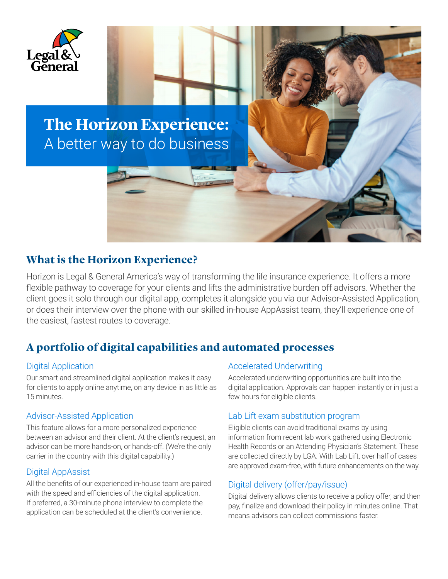

## **The Horizon Experience:** A better way to do business

### **What is the Horizon Experience?**

Horizon is Legal & General America's way of transforming the life insurance experience. It offers a more flexible pathway to coverage for your clients and lifts the administrative burden off advisors. Whether the client goes it solo through our digital app, completes it alongside you via our Advisor-Assisted Application, or does their interview over the phone with our skilled in-house AppAssist team, they'll experience one of the easiest, fastest routes to coverage.

## **A portfolio of digital capabilities and automated processes**

#### Digital Application

Our smart and streamlined digital application makes it easy for clients to apply online anytime, on any device in as little as 15 minutes.

#### Advisor-Assisted Application

This feature allows for a more personalized experience between an advisor and their client. At the client's request, an advisor can be more hands-on, or hands-off. (We're the only carrier in the country with this digital capability.)

#### Digital AppAssist

All the benefits of our experienced in-house team are paired with the speed and efficiencies of the digital application. If preferred, a 30-minute phone interview to complete the application can be scheduled at the client's convenience.

#### Accelerated Underwriting

Accelerated underwriting opportunities are built into the digital application. Approvals can happen instantly or in just a few hours for eligible clients.

#### Lab Lift exam substitution program

Eligible clients can avoid traditional exams by using information from recent lab work gathered using Electronic Health Records or an Attending Physician's Statement. These are collected directly by LGA. With Lab Lift, over half of cases are approved exam-free, with future enhancements on the way.

#### Digital delivery (offer/pay/issue)

Digital delivery allows clients to receive a policy offer, and then pay, finalize and download their policy in minutes online. That means advisors can collect commissions faster.